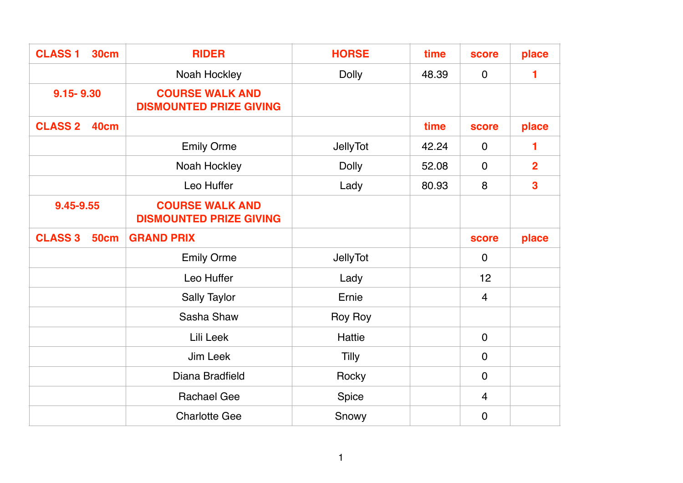| <b>CLASS 1</b><br><b>30cm</b> | <b>RIDER</b>                                             | <b>HORSE</b>    | time  | <b>score</b>   | place                   |
|-------------------------------|----------------------------------------------------------|-----------------|-------|----------------|-------------------------|
|                               | Noah Hockley                                             | <b>Dolly</b>    | 48.39 | $\mathbf 0$    | 1                       |
| $9.15 - 9.30$                 | <b>COURSE WALK AND</b><br><b>DISMOUNTED PRIZE GIVING</b> |                 |       |                |                         |
| <b>CLASS 2</b><br><b>40cm</b> |                                                          |                 | time  | <b>score</b>   | place                   |
|                               | <b>Emily Orme</b>                                        | <b>JellyTot</b> | 42.24 | $\mathbf 0$    | 1                       |
|                               | Noah Hockley                                             | <b>Dolly</b>    | 52.08 | $\mathbf 0$    | $\overline{2}$          |
|                               | Leo Huffer                                               | Lady            | 80.93 | 8              | $\overline{\mathbf{3}}$ |
| 9.45-9.55                     | <b>COURSE WALK AND</b><br><b>DISMOUNTED PRIZE GIVING</b> |                 |       |                |                         |
| <b>CLASS 3</b><br><b>50cm</b> | <b>GRAND PRIX</b>                                        |                 |       | score          | place                   |
|                               | <b>Emily Orme</b>                                        | <b>JellyTot</b> |       | $\mathbf 0$    |                         |
|                               | Leo Huffer                                               | Lady            |       | 12             |                         |
|                               | <b>Sally Taylor</b>                                      | Ernie           |       | $\overline{4}$ |                         |
|                               | Sasha Shaw                                               | Roy Roy         |       |                |                         |
|                               | Lili Leek                                                | Hattie          |       | $\mathbf 0$    |                         |
|                               | Jim Leek                                                 | <b>Tilly</b>    |       | $\overline{0}$ |                         |
|                               | Diana Bradfield                                          | Rocky           |       | $\overline{0}$ |                         |
|                               | <b>Rachael Gee</b>                                       | Spice           |       | $\overline{4}$ |                         |
|                               | <b>Charlotte Gee</b>                                     | Snowy           |       | $\mathbf 0$    |                         |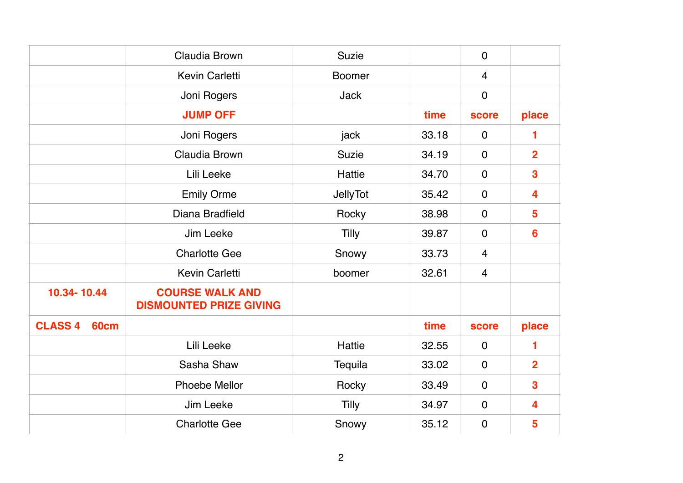|                               | Claudia Brown                                            | <b>Suzie</b>    |       | $\mathbf 0$    |                         |
|-------------------------------|----------------------------------------------------------|-----------------|-------|----------------|-------------------------|
|                               | <b>Kevin Carletti</b>                                    | <b>Boomer</b>   |       | 4              |                         |
|                               | Joni Rogers                                              | <b>Jack</b>     |       | $\mathbf 0$    |                         |
|                               | <b>JUMP OFF</b>                                          |                 | time  | score          | place                   |
|                               | Joni Rogers                                              | jack            | 33.18 | $\mathbf 0$    |                         |
|                               | Claudia Brown                                            | <b>Suzie</b>    | 34.19 | $\overline{0}$ | $\overline{2}$          |
|                               | Lili Leeke                                               | Hattie          | 34.70 | $\mathbf 0$    | $\overline{\mathbf{3}}$ |
|                               | <b>Emily Orme</b>                                        | <b>JellyTot</b> | 35.42 | $\mathbf 0$    | 4                       |
|                               | Diana Bradfield                                          | Rocky           | 38.98 | $\mathbf 0$    | $5\phantom{1}$          |
|                               | Jim Leeke                                                | Tilly           | 39.87 | $\mathbf 0$    | $6\phantom{1}6$         |
|                               | <b>Charlotte Gee</b>                                     | Snowy           | 33.73 | 4              |                         |
|                               | Kevin Carletti                                           | boomer          | 32.61 | 4              |                         |
| 10.34-10.44                   | <b>COURSE WALK AND</b><br><b>DISMOUNTED PRIZE GIVING</b> |                 |       |                |                         |
| <b>CLASS 4</b><br><b>60cm</b> |                                                          |                 | time  | score          | place                   |
|                               | Lili Leeke                                               | Hattie          | 32.55 | $\mathbf 0$    | 1                       |
|                               | Sasha Shaw                                               | Tequila         | 33.02 | $\mathbf 0$    | $\overline{2}$          |
|                               | <b>Phoebe Mellor</b>                                     | Rocky           | 33.49 | $\mathbf 0$    | 3                       |
|                               | Jim Leeke                                                | Tilly           | 34.97 | $\mathbf 0$    | 4                       |
|                               | <b>Charlotte Gee</b>                                     | Snowy           | 35.12 | $\mathbf 0$    | 5                       |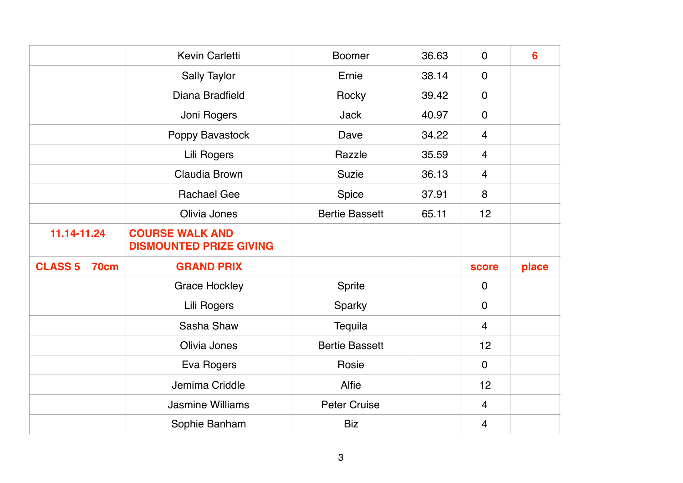|                               | <b>Kevin Carletti</b>          | <b>Boomer</b>         | 36.63 | $\mathbf 0$    | 6     |
|-------------------------------|--------------------------------|-----------------------|-------|----------------|-------|
|                               | <b>Sally Taylor</b>            | Ernie                 | 38.14 | $\mathbf 0$    |       |
|                               | Diana Bradfield                | Rocky                 | 39.42 | $\mathbf 0$    |       |
|                               | Joni Rogers                    | <b>Jack</b>           | 40.97 | $\mathbf 0$    |       |
|                               | Poppy Bavastock                | Dave                  | 34.22 | $\overline{4}$ |       |
|                               | Lili Rogers                    | Razzle                | 35.59 | $\overline{4}$ |       |
|                               | Claudia Brown                  | <b>Suzie</b>          | 36.13 | $\overline{4}$ |       |
|                               | <b>Rachael Gee</b>             | Spice                 | 37.91 | 8              |       |
|                               | Olivia Jones                   | <b>Bertie Bassett</b> | 65.11 | 12             |       |
| 11.14-11.24                   | <b>COURSE WALK AND</b>         |                       |       |                |       |
|                               | <b>DISMOUNTED PRIZE GIVING</b> |                       |       |                |       |
| <b>CLASS 5</b><br><b>70cm</b> | <b>GRAND PRIX</b>              |                       |       | <b>score</b>   | place |
|                               | <b>Grace Hockley</b>           | Sprite                |       | $\mathbf 0$    |       |
|                               | Lili Rogers                    | Sparky                |       | $\mathbf 0$    |       |
|                               | Sasha Shaw                     | Tequila               |       | $\overline{4}$ |       |
|                               | Olivia Jones                   | <b>Bertie Bassett</b> |       | 12             |       |
|                               | Eva Rogers                     | Rosie                 |       | $\mathbf 0$    |       |
|                               | Jemima Criddle                 | Alfie                 |       | 12             |       |
|                               | <b>Jasmine Williams</b>        | <b>Peter Cruise</b>   |       | $\overline{4}$ |       |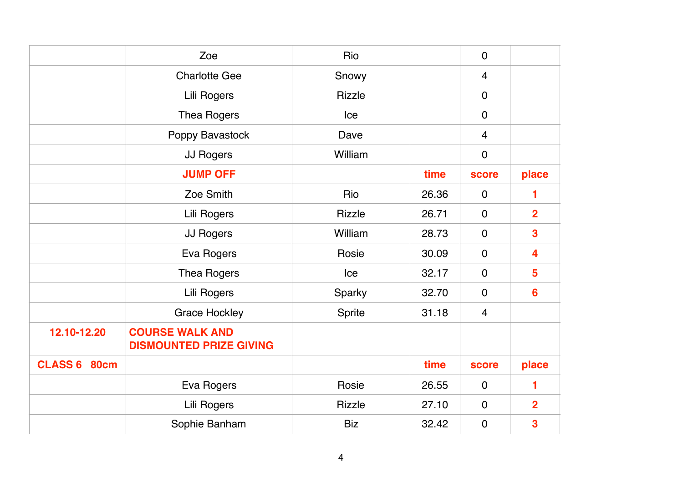|              | Zoe                                                      | Rio           |       | $\mathbf 0$    |                         |
|--------------|----------------------------------------------------------|---------------|-------|----------------|-------------------------|
|              | <b>Charlotte Gee</b>                                     | Snowy         |       | $\overline{4}$ |                         |
|              | Lili Rogers                                              | <b>Rizzle</b> |       | $\mathbf 0$    |                         |
|              | <b>Thea Rogers</b>                                       | Ice           |       | $\mathbf 0$    |                         |
|              | Poppy Bavastock                                          | Dave          |       | $\overline{4}$ |                         |
|              | JJ Rogers                                                | William       |       | $\mathbf 0$    |                         |
|              | <b>JUMP OFF</b>                                          |               | time  | <b>score</b>   | place                   |
|              | Zoe Smith                                                | Rio           | 26.36 | $\mathbf 0$    | 1                       |
|              | Lili Rogers                                              | <b>Rizzle</b> | 26.71 | $\mathbf 0$    | $\overline{2}$          |
|              | <b>JJ Rogers</b>                                         | William       | 28.73 | $\mathbf 0$    | $\overline{\mathbf{3}}$ |
|              | Eva Rogers                                               | Rosie         | 30.09 | $\mathbf 0$    | $\overline{\mathbf{4}}$ |
|              | <b>Thea Rogers</b>                                       | Ice           | 32.17 | $\mathbf 0$    | $5\phantom{1}$          |
|              | Lili Rogers                                              | Sparky        | 32.70 | $\mathbf 0$    | $6\phantom{1}6$         |
|              | <b>Grace Hockley</b>                                     | Sprite        | 31.18 | $\overline{4}$ |                         |
| 12.10-12.20  | <b>COURSE WALK AND</b><br><b>DISMOUNTED PRIZE GIVING</b> |               |       |                |                         |
| CLASS 6 80cm |                                                          |               | time  | <b>score</b>   | place                   |
|              | Eva Rogers                                               | Rosie         | 26.55 | $\mathbf 0$    | 1                       |
|              | Lili Rogers                                              | <b>Rizzle</b> | 27.10 | $\mathbf 0$    | $\overline{2}$          |
|              | Sophie Banham                                            | <b>Biz</b>    | 32.42 | $\mathbf 0$    | 3                       |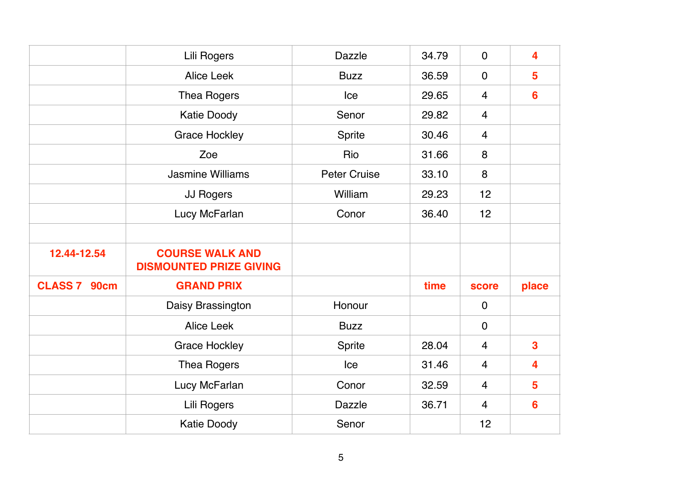|              | Lili Rogers                                              | <b>Dazzle</b>       | 34.79 | $\overline{0}$ | 4                       |
|--------------|----------------------------------------------------------|---------------------|-------|----------------|-------------------------|
|              | <b>Alice Leek</b>                                        | <b>Buzz</b>         | 36.59 | $\mathbf 0$    | 5                       |
|              | Thea Rogers                                              | Ice                 | 29.65 | $\overline{4}$ | $6\phantom{1}6$         |
|              | Katie Doody                                              | Senor               | 29.82 | $\overline{4}$ |                         |
|              | <b>Grace Hockley</b>                                     | Sprite              | 30.46 | $\overline{4}$ |                         |
|              | Zoe                                                      | Rio                 | 31.66 | 8              |                         |
|              | <b>Jasmine Williams</b>                                  | <b>Peter Cruise</b> | 33.10 | 8              |                         |
|              | JJ Rogers                                                | William             | 29.23 | 12             |                         |
|              | Lucy McFarlan                                            | Conor               | 36.40 | 12             |                         |
|              |                                                          |                     |       |                |                         |
| 12.44-12.54  | <b>COURSE WALK AND</b><br><b>DISMOUNTED PRIZE GIVING</b> |                     |       |                |                         |
| CLASS 7 90cm | <b>GRAND PRIX</b>                                        |                     | time  | <b>score</b>   | place                   |
|              | Daisy Brassington                                        | Honour              |       | $\mathbf 0$    |                         |
|              | <b>Alice Leek</b>                                        | <b>Buzz</b>         |       | $\mathbf 0$    |                         |
|              | <b>Grace Hockley</b>                                     | Sprite              | 28.04 | $\overline{4}$ | $\overline{\mathbf{3}}$ |
|              | Thea Rogers                                              | Ice                 | 31.46 | $\overline{4}$ | 4                       |
|              | Lucy McFarlan                                            | Conor               | 32.59 | $\overline{4}$ | $5\phantom{1}$          |
|              | Lili Rogers                                              | <b>Dazzle</b>       | 36.71 | $\overline{4}$ | $6\phantom{1}6$         |
|              | <b>Katie Doody</b>                                       | Senor               |       | 12             |                         |